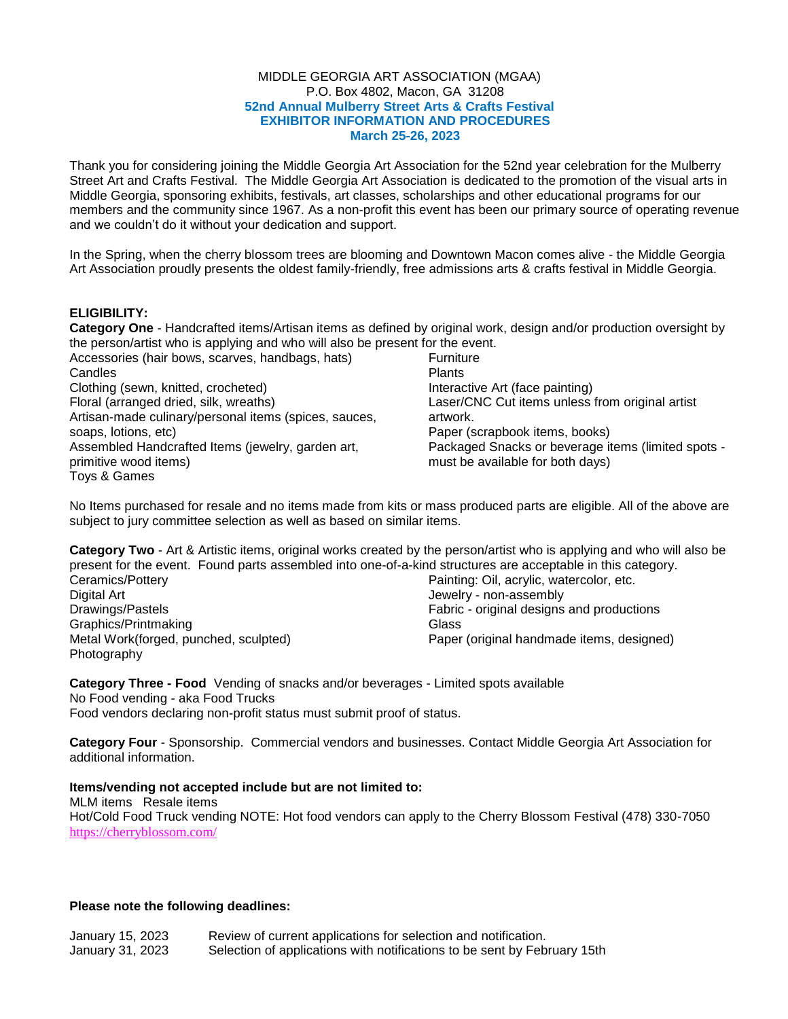## MIDDLE GEORGIA ART ASSOCIATION (MGAA) P.O. Box 4802, Macon, GA 31208  **52nd Annual Mulberry Street Arts & Crafts Festival EXHIBITOR INFORMATION AND PROCEDURES March 25-26, 2023**

Thank you for considering joining the Middle Georgia Art Association for the 52nd year celebration for the Mulberry Street Art and Crafts Festival. The Middle Georgia Art Association is dedicated to the promotion of the visual arts in Middle Georgia, sponsoring exhibits, festivals, art classes, scholarships and other educational programs for our members and the community since 1967. As a non-profit this event has been our primary source of operating revenue and we couldn't do it without your dedication and support.

In the Spring, when the cherry blossom trees are blooming and Downtown Macon comes alive - the Middle Georgia Art Association proudly presents the oldest family-friendly, free admissions arts & crafts festival in Middle Georgia.

# **ELIGIBILITY:**

**Category One** - Handcrafted items/Artisan items as defined by original work, design and/or production oversight by the person/artist who is applying and who will also be present for the event.

| Accessories (hair bows, scarves, handbags, hats)      | <b>Furniture</b>                                   |
|-------------------------------------------------------|----------------------------------------------------|
| Candles                                               | <b>Plants</b>                                      |
| Clothing (sewn, knitted, crocheted)                   | Interactive Art (face painting)                    |
| Floral (arranged dried, silk, wreaths)                | Laser/CNC Cut items unless from original artist    |
| Artisan-made culinary/personal items (spices, sauces, | artwork.                                           |
| soaps, lotions, etc)                                  | Paper (scrapbook items, books)                     |
| Assembled Handcrafted Items (jewelry, garden art,     | Packaged Snacks or beverage items (limited spots - |
| primitive wood items)                                 | must be available for both days)                   |
| Toys & Games                                          |                                                    |

No Items purchased for resale and no items made from kits or mass produced parts are eligible. All of the above are subject to jury committee selection as well as based on similar items.

**Category Two** - Art & Artistic items, original works created by the person/artist who is applying and who will also be present for the event. Found parts assembled into one-of-a-kind structures are acceptable in this category.

| Ceramics/Pottery                      | Painting: Oil, acrylic, watercolor, etc.  |
|---------------------------------------|-------------------------------------------|
| Digital Art                           | Jewelry - non-assembly                    |
| Drawings/Pastels                      | Fabric - original designs and productions |
| Graphics/Printmaking                  | Glass                                     |
| Metal Work(forged, punched, sculpted) | Paper (original handmade items, designed) |
| Photography                           |                                           |

**Category Three - Food** Vending of snacks and/or beverages - Limited spots available No Food vending - aka Food Trucks Food vendors declaring non-profit status must submit proof of status.

**Category Four** - Sponsorship. Commercial vendors and businesses. Contact Middle Georgia Art Association for additional information.

**Items/vending not accepted include but are not limited to:** MLM items Resale items

Hot/Cold Food Truck vending NOTE: Hot food vendors can apply to the Cherry Blossom Festival (478) 330-7050 <https://cherryblossom.com/>

## **Please note the following deadlines:**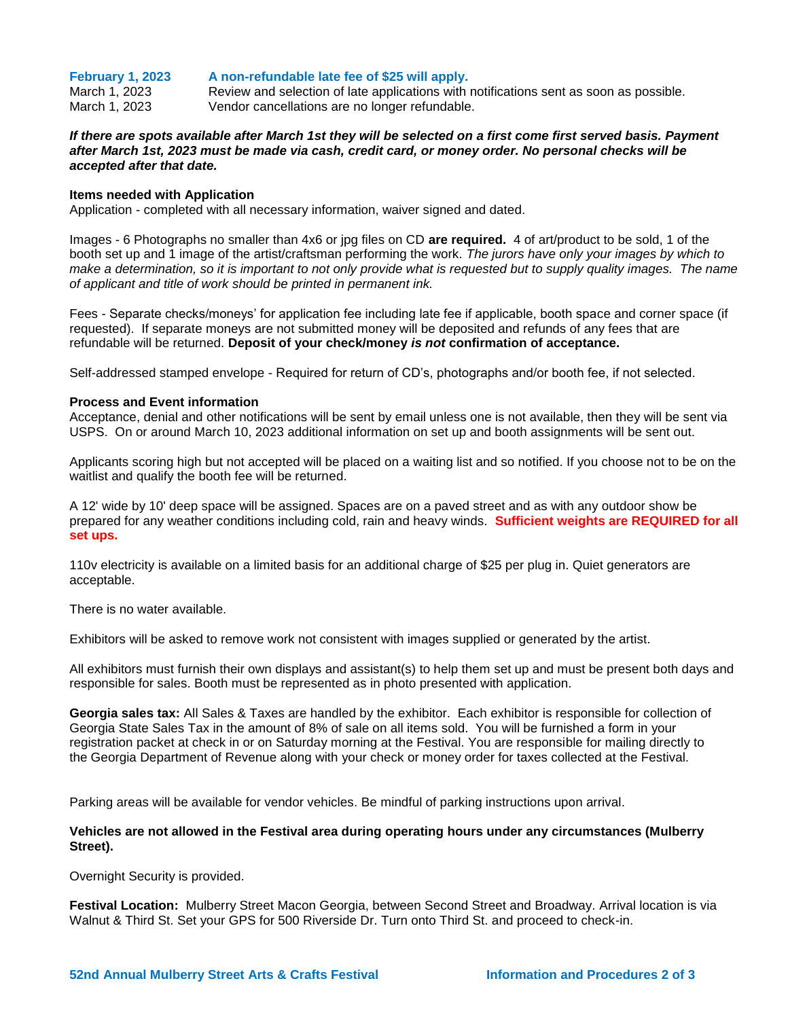**February 1, 2023 A non-refundable late fee of \$25 will apply.**

March 1, 2023 Review and selection of late applications with notifications sent as soon as possible. March 1, 2023 Vendor cancellations are no longer refundable.

## *If there are spots available after March 1st they will be selected on a first come first served basis. Payment after March 1st, 2023 must be made via cash, credit card, or money order. No personal checks will be accepted after that date.*

#### **Items needed with Application**

Application - completed with all necessary information, waiver signed and dated.

Images - 6 Photographs no smaller than 4x6 or jpg files on CD **are required.** 4 of art/product to be sold, 1 of the booth set up and 1 image of the artist/craftsman performing the work. *The jurors have only your images by which to make a determination, so it is important to not only provide what is requested but to supply quality images. The name of applicant and title of work should be printed in permanent ink.*

Fees - Separate checks/moneys' for application fee including late fee if applicable, booth space and corner space (if requested). If separate moneys are not submitted money will be deposited and refunds of any fees that are refundable will be returned. **Deposit of your check/money** *is not* **confirmation of acceptance.**

Self-addressed stamped envelope - Required for return of CD's, photographs and/or booth fee, if not selected.

## **Process and Event information**

Acceptance, denial and other notifications will be sent by email unless one is not available, then they will be sent via USPS. On or around March 10, 2023 additional information on set up and booth assignments will be sent out.

Applicants scoring high but not accepted will be placed on a waiting list and so notified. If you choose not to be on the waitlist and qualify the booth fee will be returned.

A 12' wide by 10' deep space will be assigned. Spaces are on a paved street and as with any outdoor show be prepared for any weather conditions including cold, rain and heavy winds. **Sufficient weights are REQUIRED for all set ups.**

110v electricity is available on a limited basis for an additional charge of \$25 per plug in. Quiet generators are acceptable.

There is no water available.

Exhibitors will be asked to remove work not consistent with images supplied or generated by the artist.

All exhibitors must furnish their own displays and assistant(s) to help them set up and must be present both days and responsible for sales. Booth must be represented as in photo presented with application.

**Georgia sales tax:** All Sales & Taxes are handled by the exhibitor. Each exhibitor is responsible for collection of Georgia State Sales Tax in the amount of 8% of sale on all items sold. You will be furnished a form in your registration packet at check in or on Saturday morning at the Festival. You are responsible for mailing directly to the Georgia Department of Revenue along with your check or money order for taxes collected at the Festival.

Parking areas will be available for vendor vehicles. Be mindful of parking instructions upon arrival.

## **Vehicles are not allowed in the Festival area during operating hours under any circumstances (Mulberry Street).**

Overnight Security is provided.

**Festival Location:** Mulberry Street Macon Georgia, between Second Street and Broadway. Arrival location is via Walnut & Third St. Set your GPS for 500 Riverside Dr. Turn onto Third St. and proceed to check-in.